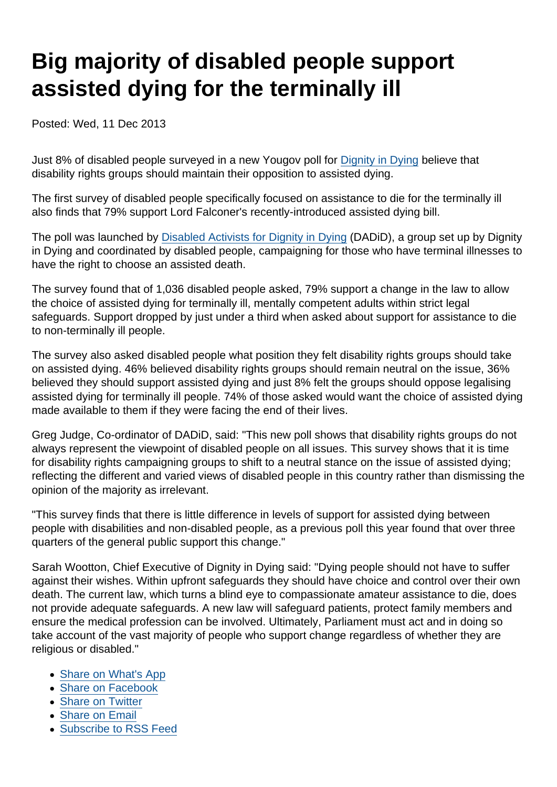## Big majority of disabled people support assisted dying for the terminally ill

Posted: Wed, 11 Dec 2013

Just 8% of disabled people surveyed in a new Yougov poll for [Dignity in Dying](http://www.dignityindying.org.uk/about-us/) believe that disability rights groups should maintain their opposition to assisted dying.

The first survey of disabled people specifically focused on assistance to die for the terminally ill also finds that 79% support Lord Falconer's recently-introduced assisted dying bill.

The poll was launched by [Disabled Activists for Dignity in Dying](http://www.dadid.org.uk/) (DADiD), a group set up by Dignity in Dying and coordinated by disabled people, campaigning for those who have terminal illnesses to have the right to choose an assisted death.

The survey found that of 1,036 disabled people asked, 79% support a change in the law to allow the choice of assisted dying for terminally ill, mentally competent adults within strict legal safeguards. Support dropped by just under a third when asked about support for assistance to die to non-terminally ill people.

The survey also asked disabled people what position they felt disability rights groups should take on assisted dying. 46% believed disability rights groups should remain neutral on the issue, 36% believed they should support assisted dying and just 8% felt the groups should oppose legalising assisted dying for terminally ill people. 74% of those asked would want the choice of assisted dying made available to them if they were facing the end of their lives.

Greg Judge, Co-ordinator of DADiD, said: "This new poll shows that disability rights groups do not always represent the viewpoint of disabled people on all issues. This survey shows that it is time for disability rights campaigning groups to shift to a neutral stance on the issue of assisted dying; reflecting the different and varied views of disabled people in this country rather than dismissing the opinion of the majority as irrelevant.

"This survey finds that there is little difference in levels of support for assisted dying between people with disabilities and non-disabled people, as a previous poll this year found that over three quarters of the general public support this change."

Sarah Wootton, Chief Executive of Dignity in Dying said: "Dying people should not have to suffer against their wishes. Within upfront safeguards they should have choice and control over their own death. The current law, which turns a blind eye to compassionate amateur assistance to die, does not provide adequate safeguards. A new law will safeguard patients, protect family members and ensure the medical profession can be involved. Ultimately, Parliament must act and in doing so take account of the vast majority of people who support change regardless of whether they are religious or disabled."

- [Share on What's App](whatsapp://send?text=http://www.secularism.org.uk/news/2013/12/big-majority-of-disabled-people-support-assisted-dying-for-the-terminally-ill?format=pdf)
- [Share on Facebook](https://www.facebook.com/sharer/sharer.php?u=http://www.secularism.org.uk/news/2013/12/big-majority-of-disabled-people-support-assisted-dying-for-the-terminally-ill?format=pdf&t=Big+majority+of+disabled+people+support+assisted+dying+for+the+terminally+ill)
- [Share on Twitter](https://twitter.com/intent/tweet?url=http://www.secularism.org.uk/news/2013/12/big-majority-of-disabled-people-support-assisted-dying-for-the-terminally-ill?format=pdf&text=Big+majority+of+disabled+people+support+assisted+dying+for+the+terminally+ill&via=NatSecSoc)
- [Share on Email](https://www.secularism.org.uk/share.html?url=http://www.secularism.org.uk/news/2013/12/big-majority-of-disabled-people-support-assisted-dying-for-the-terminally-ill?format=pdf&title=Big+majority+of+disabled+people+support+assisted+dying+for+the+terminally+ill)
- [Subscribe to RSS Feed](/mnt/web-data/www/cp-nss/feeds/rss/news)